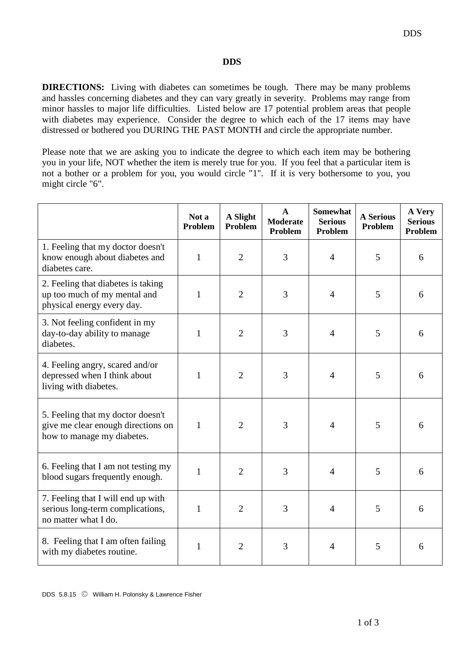## **DDS**

**DIRECTIONS:** Living with diabetes can sometimes be tough. There may be many problems and hassles concerning diabetes and they can vary greatly in severity. Problems may range from minor hassles to major life difficulties. Listed below are 17 potential problem areas that people with diabetes may experience. Consider the degree to which each of the 17 items may have distressed or bothered you DURING THE PAST MONTH and circle the appropriate number.

Please note that we are asking you to indicate the degree to which each item may be bothering you in your life, NOT whether the item is merely true for you. If you feel that a particular item is not a bother or a problem for you, you would circle "1". If it is very bothersome to you, you might circle "6".

|                                                                                                       | Not a<br>Problem | A Slight<br>Problem | $\mathbf{A}$<br><b>Moderate</b><br>Problem | <b>Somewhat</b><br><b>Serious</b><br>Problem | <b>A Serious</b><br>Problem | A Very<br><b>Serious</b><br>Problem |
|-------------------------------------------------------------------------------------------------------|------------------|---------------------|--------------------------------------------|----------------------------------------------|-----------------------------|-------------------------------------|
| 1. Feeling that my doctor doesn't<br>know enough about diabetes and<br>diabetes care.                 | $\mathbf{1}$     | $\overline{2}$      | 3                                          | $\overline{4}$                               | 5                           | 6                                   |
| 2. Feeling that diabetes is taking<br>up too much of my mental and<br>physical energy every day.      | 1                | $\overline{2}$      | 3                                          | $\overline{4}$                               | 5                           | 6                                   |
| 3. Not feeling confident in my<br>day-to-day ability to manage<br>diabetes.                           | $\mathbf{1}$     | $\overline{2}$      | 3                                          | $\overline{4}$                               | 5                           | 6                                   |
| 4. Feeling angry, scared and/or<br>depressed when I think about<br>living with diabetes.              | $\mathbf{1}$     | $\overline{2}$      | 3                                          | $\overline{4}$                               | 5                           | 6                                   |
| 5. Feeling that my doctor doesn't<br>give me clear enough directions on<br>how to manage my diabetes. | 1                | $\overline{2}$      | 3                                          | $\overline{4}$                               | 5                           | 6                                   |
| 6. Feeling that I am not testing my<br>blood sugars frequently enough.                                | $\mathbf{1}$     | $\overline{2}$      | 3                                          | $\overline{4}$                               | 5                           | 6                                   |
| 7. Feeling that I will end up with<br>serious long-term complications,<br>no matter what I do.        | $\mathbf{1}$     | $\overline{2}$      | 3                                          | $\overline{4}$                               | 5                           | 6                                   |
| 8. Feeling that I am often failing<br>with my diabetes routine.                                       | $\mathbf{1}$     | $\overline{2}$      | 3                                          | 4                                            | 5                           | 6                                   |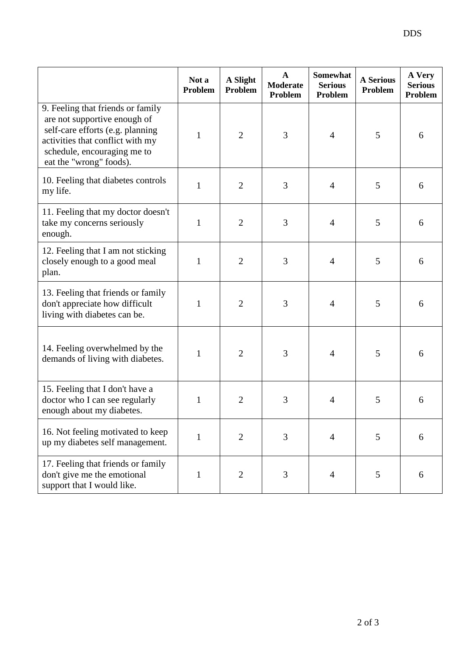|                                                                                                                                                                                                     | Not a<br>Problem | A Slight<br><b>Problem</b> | $\mathbf{A}$<br><b>Moderate</b><br>Problem | Somewhat<br><b>Serious</b><br>Problem | <b>A Serious</b><br>Problem | A Very<br><b>Serious</b><br>Problem |
|-----------------------------------------------------------------------------------------------------------------------------------------------------------------------------------------------------|------------------|----------------------------|--------------------------------------------|---------------------------------------|-----------------------------|-------------------------------------|
| 9. Feeling that friends or family<br>are not supportive enough of<br>self-care efforts (e.g. planning<br>activities that conflict with my<br>schedule, encouraging me to<br>eat the "wrong" foods). | $\mathbf{1}$     | $\overline{2}$             | 3                                          | $\overline{4}$                        | 5                           | 6                                   |
| 10. Feeling that diabetes controls<br>my life.                                                                                                                                                      | $\mathbf{1}$     | $\overline{2}$             | 3                                          | $\overline{4}$                        | 5                           | 6                                   |
| 11. Feeling that my doctor doesn't<br>take my concerns seriously<br>enough.                                                                                                                         | $\mathbf{1}$     | $\overline{2}$             | 3                                          | 4                                     | 5                           | 6                                   |
| 12. Feeling that I am not sticking<br>closely enough to a good meal<br>plan.                                                                                                                        | $\mathbf{1}$     | $\overline{2}$             | 3                                          | $\overline{4}$                        | 5                           | 6                                   |
| 13. Feeling that friends or family<br>don't appreciate how difficult<br>living with diabetes can be.                                                                                                | $\mathbf{1}$     | $\overline{2}$             | 3                                          | $\overline{4}$                        | 5                           | 6                                   |
| 14. Feeling overwhelmed by the<br>demands of living with diabetes.                                                                                                                                  | 1                | $\overline{2}$             | 3                                          | 4                                     | 5                           | 6                                   |
| 15. Feeling that I don't have a<br>doctor who I can see regularly<br>enough about my diabetes.                                                                                                      | $\mathbf{1}$     | $\overline{2}$             | 3                                          | 4                                     | 5                           | 6                                   |
| 16. Not feeling motivated to keep<br>up my diabetes self management.                                                                                                                                | $\mathbf{1}$     | $\overline{2}$             | 3                                          | 4                                     | 5                           | 6                                   |
| 17. Feeling that friends or family<br>don't give me the emotional<br>support that I would like.                                                                                                     | $\mathbf{1}$     | $\overline{2}$             | 3                                          | 4                                     | 5                           | 6                                   |